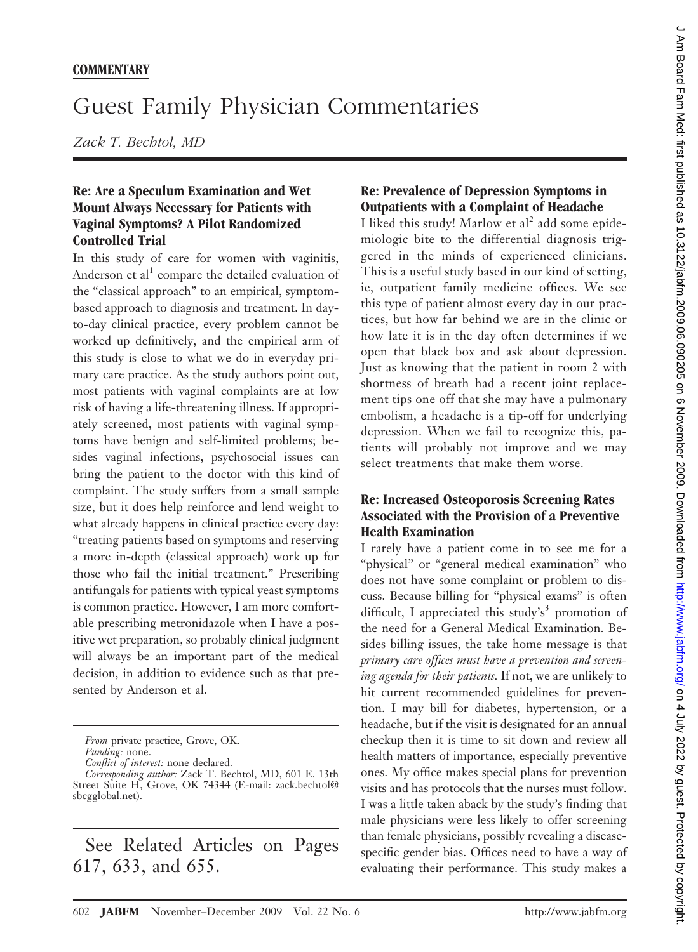# Guest Family Physician Commentaries

*Zack T. Bechtol, MD*

## **Re: Are a Speculum Examination and Wet Mount Always Necessary for Patients with Vaginal Symptoms? A Pilot Randomized Controlled Trial**

In this study of care for women with vaginitis, Anderson et al<sup>1</sup> compare the detailed evaluation of the "classical approach" to an empirical, symptombased approach to diagnosis and treatment. In dayto-day clinical practice, every problem cannot be worked up definitively, and the empirical arm of this study is close to what we do in everyday primary care practice. As the study authors point out, most patients with vaginal complaints are at low risk of having a life-threatening illness. If appropriately screened, most patients with vaginal symptoms have benign and self-limited problems; besides vaginal infections, psychosocial issues can bring the patient to the doctor with this kind of complaint. The study suffers from a small sample size, but it does help reinforce and lend weight to what already happens in clinical practice every day: "treating patients based on symptoms and reserving a more in-depth (classical approach) work up for those who fail the initial treatment." Prescribing antifungals for patients with typical yeast symptoms is common practice. However, I am more comfortable prescribing metronidazole when I have a positive wet preparation, so probably clinical judgment will always be an important part of the medical decision, in addition to evidence such as that presented by Anderson et al.

See Related Articles on Pages 617, 633, and 655.

## **Re: Prevalence of Depression Symptoms in Outpatients with a Complaint of Headache**

I liked this study! Marlow et  $al<sup>2</sup>$  add some epidemiologic bite to the differential diagnosis triggered in the minds of experienced clinicians. This is a useful study based in our kind of setting, ie, outpatient family medicine offices. We see this type of patient almost every day in our practices, but how far behind we are in the clinic or how late it is in the day often determines if we open that black box and ask about depression. Just as knowing that the patient in room 2 with shortness of breath had a recent joint replacement tips one off that she may have a pulmonary embolism, a headache is a tip-off for underlying depression. When we fail to recognize this, patients will probably not improve and we may select treatments that make them worse.

#### **Re: Increased Osteoporosis Screening Rates Associated with the Provision of a Preventive Health Examination**

I rarely have a patient come in to see me for a "physical" or "general medical examination" who does not have some complaint or problem to discuss. Because billing for "physical exams" is often difficult, I appreciated this study's<sup>3</sup> promotion of the need for a General Medical Examination. Besides billing issues, the take home message is that *primary care offices must have a prevention and screening agenda for their patients.* If not, we are unlikely to hit current recommended guidelines for prevention. I may bill for diabetes, hypertension, or a headache, but if the visit is designated for an annual checkup then it is time to sit down and review all health matters of importance, especially preventive ones. My office makes special plans for prevention visits and has protocols that the nurses must follow. I was a little taken aback by the study's finding that male physicians were less likely to offer screening than female physicians, possibly revealing a diseasespecific gender bias. Offices need to have a way of evaluating their performance. This study makes a

*From* private practice, Grove, OK.

*Funding:* none.

*Conflict of interest:* none declared.

*Corresponding author:* Zack T. Bechtol, MD, 601 E. 13th Street Suite H, Grove, OK 74344 (E-mail: zack.bechtol@ sbcgglobal.net).